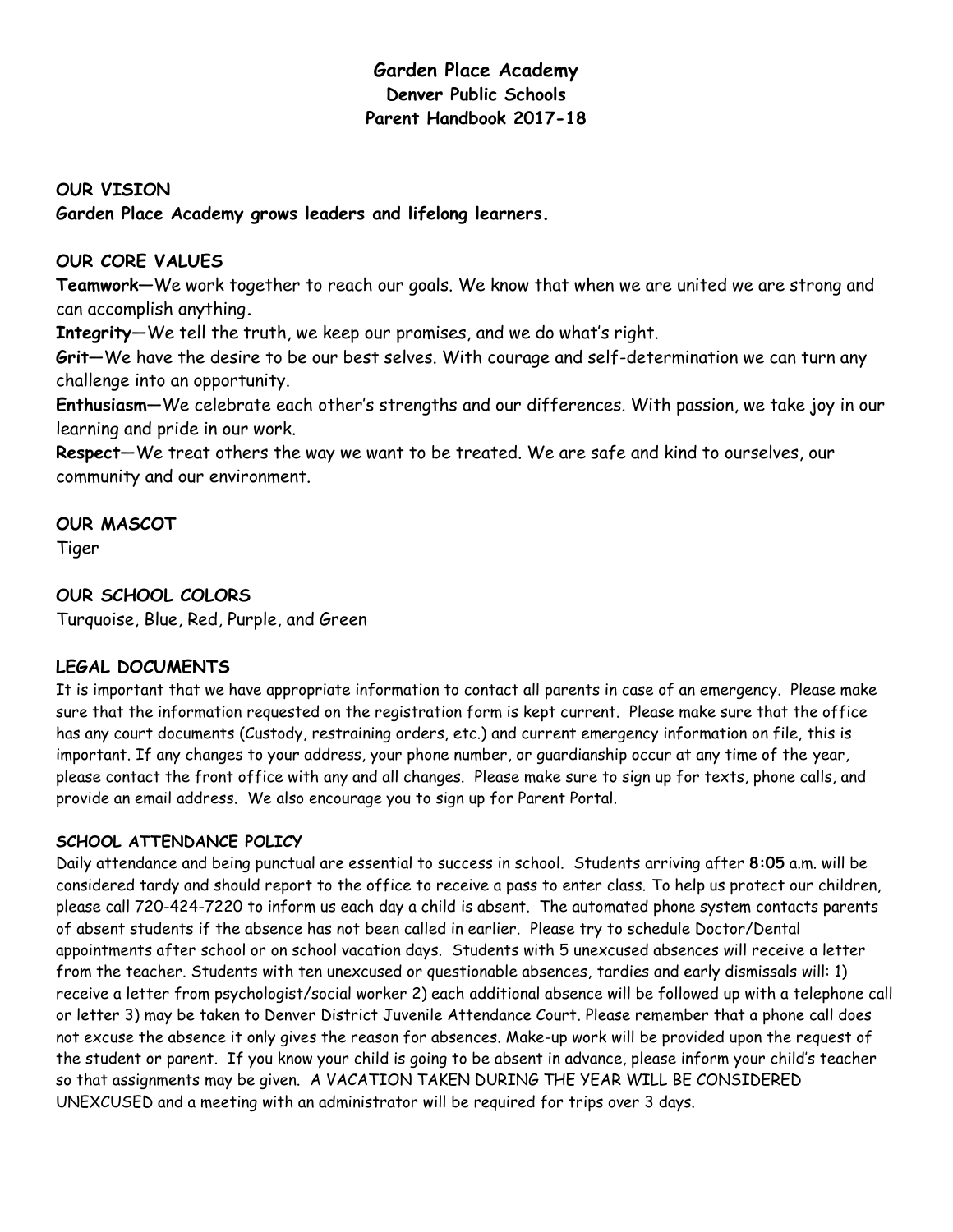# **Garden Place Academy Denver Public Schools Parent Handbook 2017-18**

# **OUR VISION Garden Place Academy grows leaders and lifelong learners.**

# **OUR CORE VALUES**

**Teamwork—**We work together to reach our goals. We know that when we are united we are strong and can accomplish anything**.** 

**Integrity**—We tell the truth, we keep our promises, and we do what's right.

**Grit**—We have the desire to be our best selves. With courage and self-determination we can turn any challenge into an opportunity.

**Enthusiasm**—We celebrate each other's strengths and our differences. With passion, we take joy in our learning and pride in our work.

**Respect**—We treat others the way we want to be treated. We are safe and kind to ourselves, our community and our environment.

# **OUR MASCOT**

Tiger

# **OUR SCHOOL COLORS**

Turquoise, Blue, Red, Purple, and Green

# **LEGAL DOCUMENTS**

It is important that we have appropriate information to contact all parents in case of an emergency. Please make sure that the information requested on the registration form is kept current. Please make sure that the office has any court documents (Custody, restraining orders, etc.) and current emergency information on file, this is important. If any changes to your address, your phone number, or guardianship occur at any time of the year, please contact the front office with any and all changes. Please make sure to sign up for texts, phone calls, and provide an email address. We also encourage you to sign up for Parent Portal.

## **SCHOOL ATTENDANCE POLICY**

Daily attendance and being punctual are essential to success in school. Students arriving after **8:05** a.m. will be considered tardy and should report to the office to receive a pass to enter class. To help us protect our children, please call 720-424-7220 to inform us each day a child is absent. The automated phone system contacts parents of absent students if the absence has not been called in earlier. Please try to schedule Doctor/Dental appointments after school or on school vacation days. Students with 5 unexcused absences will receive a letter from the teacher. Students with ten unexcused or questionable absences, tardies and early dismissals will: 1) receive a letter from psychologist/social worker 2) each additional absence will be followed up with a telephone call or letter 3) may be taken to Denver District Juvenile Attendance Court. Please remember that a phone call does not excuse the absence it only gives the reason for absences. Make-up work will be provided upon the request of the student or parent. If you know your child is going to be absent in advance, please inform your child's teacher so that assignments may be given. A VACATION TAKEN DURING THE YEAR WILL BE CONSIDERED UNEXCUSED and a meeting with an administrator will be required for trips over 3 days.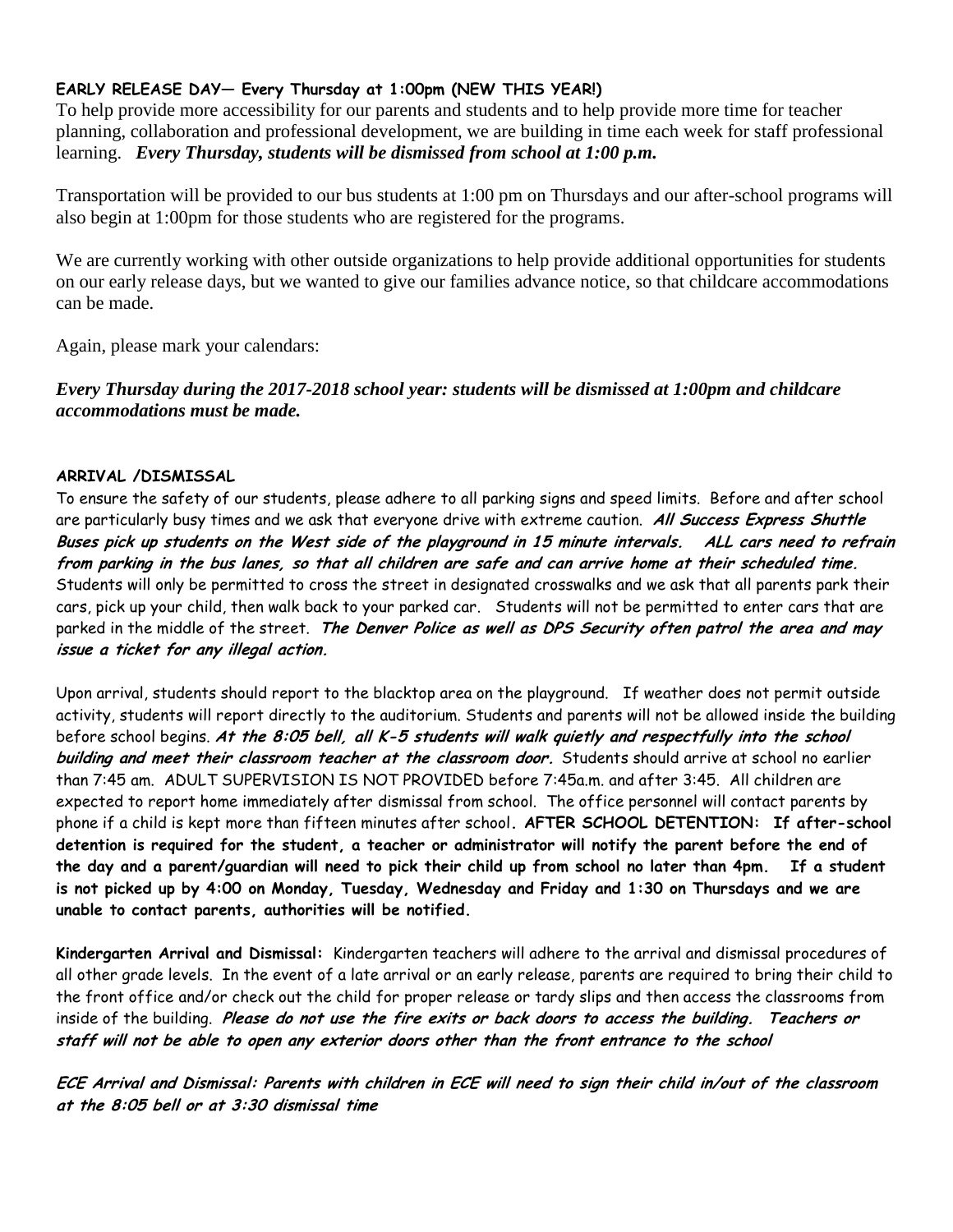### **EARLY RELEASE DAY— Every Thursday at 1:00pm (NEW THIS YEAR!)**

To help provide more accessibility for our parents and students and to help provide more time for teacher planning, collaboration and professional development, we are building in time each week for staff professional learning. *Every Thursday, students will be dismissed from school at 1:00 p.m.* 

Transportation will be provided to our bus students at 1:00 pm on Thursdays and our after-school programs will also begin at 1:00pm for those students who are registered for the programs.

We are currently working with other outside organizations to help provide additional opportunities for students on our early release days, but we wanted to give our families advance notice, so that childcare accommodations can be made.

Again, please mark your calendars:

*Every Thursday during the 2017-2018 school year: students will be dismissed at 1:00pm and childcare accommodations must be made.*

#### **ARRIVAL /DISMISSAL**

To ensure the safety of our students, please adhere to all parking signs and speed limits. Before and after school are particularly busy times and we ask that everyone drive with extreme caution. **All Success Express Shuttle Buses pick up students on the West side of the playground in 15 minute intervals. ALL cars need to refrain from parking in the bus lanes, so that all children are safe and can arrive home at their scheduled time.**  Students will only be permitted to cross the street in designated crosswalks and we ask that all parents park their cars, pick up your child, then walk back to your parked car. Students will not be permitted to enter cars that are parked in the middle of the street. **The Denver Police as well as DPS Security often patrol the area and may issue a ticket for any illegal action.** 

Upon arrival, students should report to the blacktop area on the playground. If weather does not permit outside activity, students will report directly to the auditorium. Students and parents will not be allowed inside the building before school begins. **At the 8:05 bell, all K-5 students will walk quietly and respectfully into the school building and meet their classroom teacher at the classroom door.** Students should arrive at school no earlier than 7:45 am. ADULT SUPERVISION IS NOT PROVIDED before 7:45a.m. and after 3:45. All children are expected to report home immediately after dismissal from school. The office personnel will contact parents by phone if a child is kept more than fifteen minutes after school**. AFTER SCHOOL DETENTION: If after-school detention is required for the student, a teacher or administrator will notify the parent before the end of the day and a parent/guardian will need to pick their child up from school no later than 4pm. If a student is not picked up by 4:00 on Monday, Tuesday, Wednesday and Friday and 1:30 on Thursdays and we are unable to contact parents, authorities will be notified.** 

**Kindergarten Arrival and Dismissal:** Kindergarten teachers will adhere to the arrival and dismissal procedures of all other grade levels. In the event of a late arrival or an early release, parents are required to bring their child to the front office and/or check out the child for proper release or tardy slips and then access the classrooms from inside of the building. **Please do not use the fire exits or back doors to access the building. Teachers or staff will not be able to open any exterior doors other than the front entrance to the school**

**ECE Arrival and Dismissal: Parents with children in ECE will need to sign their child in/out of the classroom at the 8:05 bell or at 3:30 dismissal time**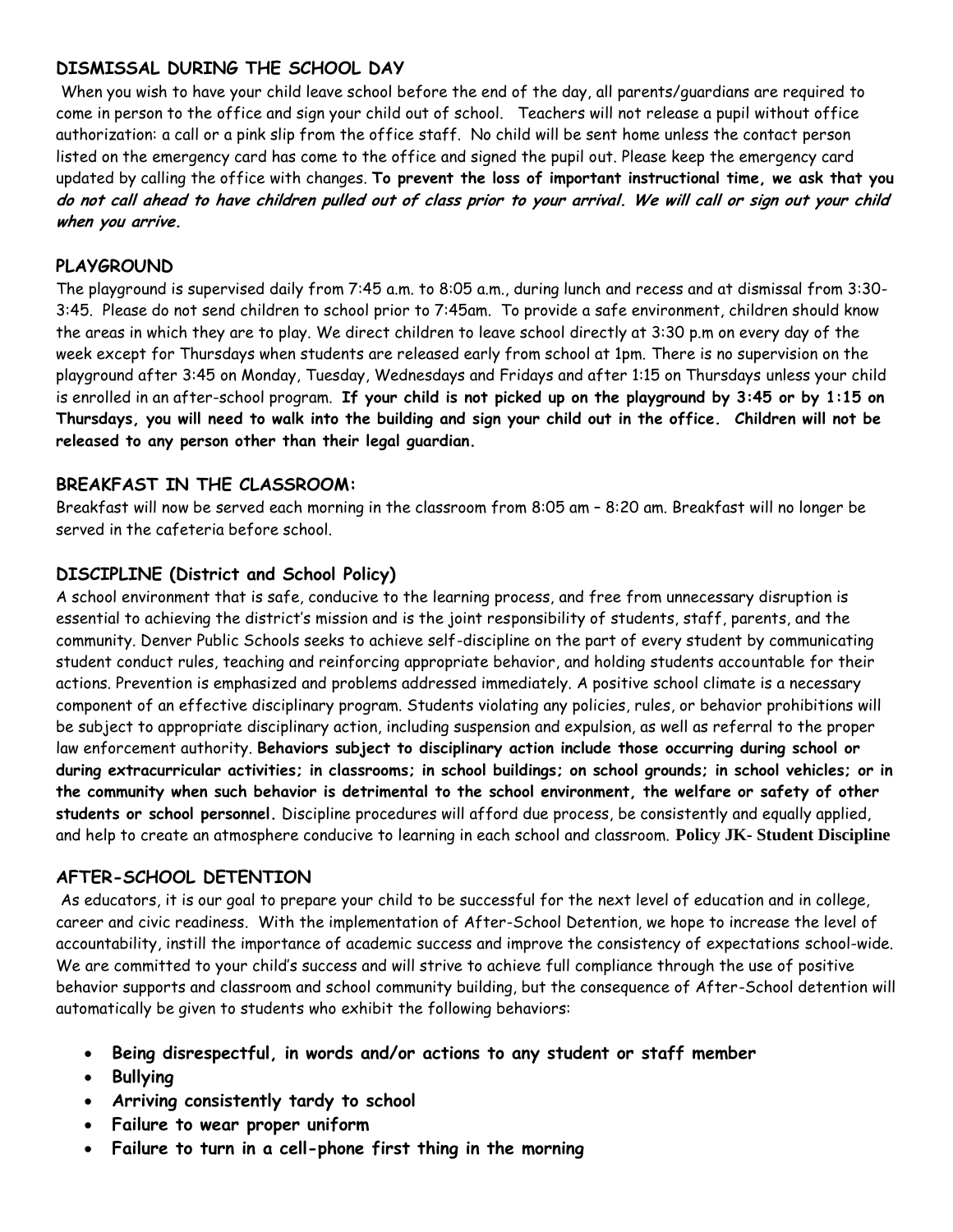## **DISMISSAL DURING THE SCHOOL DAY**

When you wish to have your child leave school before the end of the day, all parents/guardians are required to come in person to the office and sign your child out of school. Teachers will not release a pupil without office authorization: a call or a pink slip from the office staff. No child will be sent home unless the contact person listed on the emergency card has come to the office and signed the pupil out. Please keep the emergency card updated by calling the office with changes. **To prevent the loss of important instructional time, we ask that you do not call ahead to have children pulled out of class prior to your arrival. We will call or sign out your child when you arrive.**

## **PLAYGROUND**

The playground is supervised daily from 7:45 a.m. to 8:05 a.m., during lunch and recess and at dismissal from 3:30- 3:45. Please do not send children to school prior to 7:45am. To provide a safe environment, children should know the areas in which they are to play. We direct children to leave school directly at 3:30 p.m on every day of the week except for Thursdays when students are released early from school at 1pm. There is no supervision on the playground after 3:45 on Monday, Tuesday, Wednesdays and Fridays and after 1:15 on Thursdays unless your child is enrolled in an after-school program. **If your child is not picked up on the playground by 3:45 or by 1:15 on Thursdays, you will need to walk into the building and sign your child out in the office. Children will not be released to any person other than their legal guardian.** 

## **BREAKFAST IN THE CLASSROOM:**

Breakfast will now be served each morning in the classroom from 8:05 am – 8:20 am. Breakfast will no longer be served in the cafeteria before school.

## **DISCIPLINE (District and School Policy)**

A school environment that is safe, conducive to the learning process, and free from unnecessary disruption is essential to achieving the district's mission and is the joint responsibility of students, staff, parents, and the community. Denver Public Schools seeks to achieve self-discipline on the part of every student by communicating student conduct rules, teaching and reinforcing appropriate behavior, and holding students accountable for their actions. Prevention is emphasized and problems addressed immediately. A positive school climate is a necessary component of an effective disciplinary program. Students violating any policies, rules, or behavior prohibitions will be subject to appropriate disciplinary action, including suspension and expulsion, as well as referral to the proper law enforcement authority. **Behaviors subject to disciplinary action include those occurring during school or during extracurricular activities; in classrooms; in school buildings; on school grounds; in school vehicles; or in the community when such behavior is detrimental to the school environment, the welfare or safety of other students or school personnel.** Discipline procedures will afford due process, be consistently and equally applied, and help to create an atmosphere conducive to learning in each school and classroom. **Policy JK- Student Discipline**

## **AFTER-SCHOOL DETENTION**

As educators, it is our goal to prepare your child to be successful for the next level of education and in college, career and civic readiness. With the implementation of After-School Detention, we hope to increase the level of accountability, instill the importance of academic success and improve the consistency of expectations school-wide. We are committed to your child's success and will strive to achieve full compliance through the use of positive behavior supports and classroom and school community building, but the consequence of After-School detention will automatically be given to students who exhibit the following behaviors:

- **Being disrespectful, in words and/or actions to any student or staff member**
- **Bullying**
- **Arriving consistently tardy to school**
- **Failure to wear proper uniform**
- **Failure to turn in a cell-phone first thing in the morning**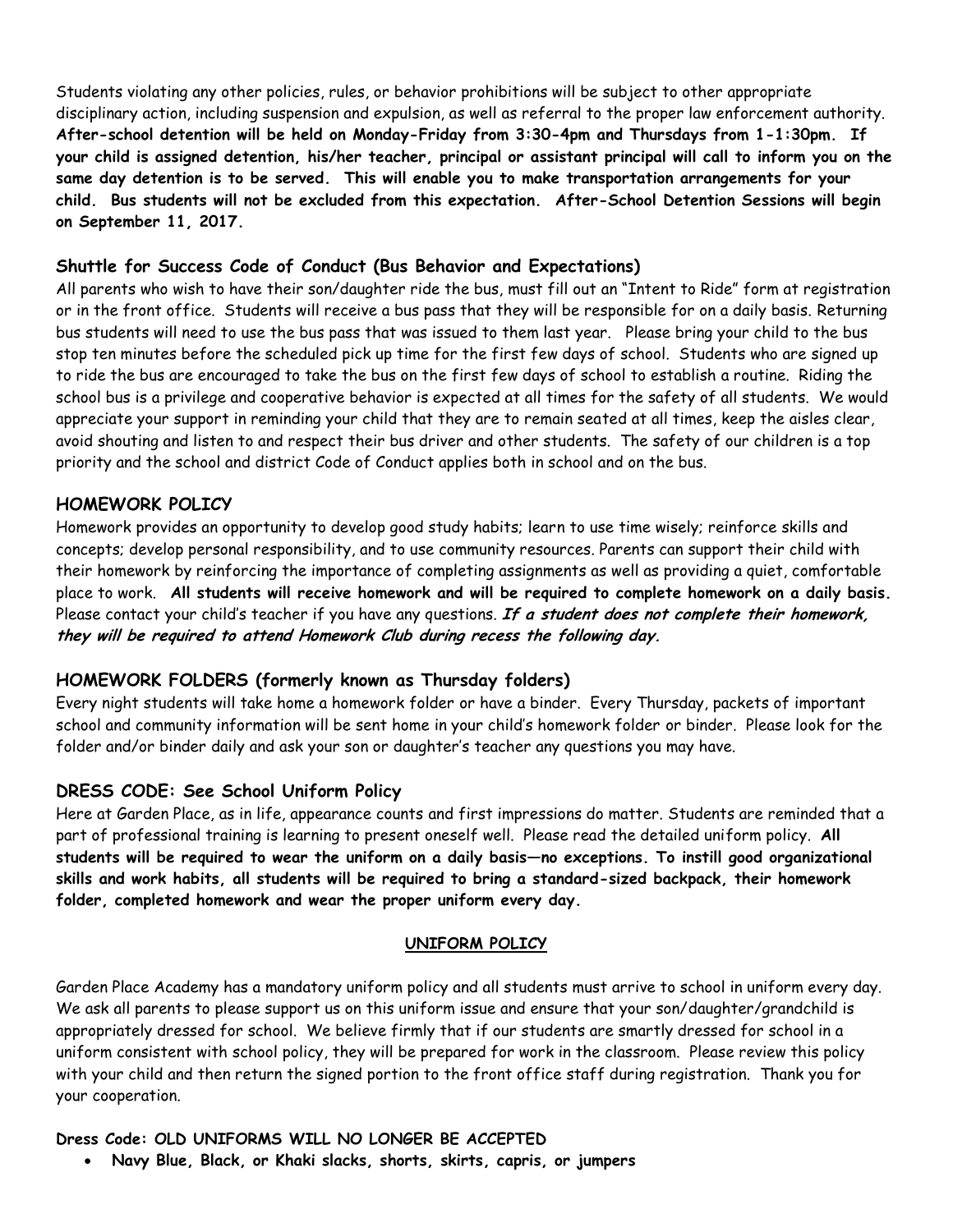Students violating any other policies, rules, or behavior prohibitions will be subject to other appropriate disciplinary action, including suspension and expulsion, as well as referral to the proper law enforcement authority. **After-school detention will be held on Monday-Friday from 3:30-4pm and Thursdays from 1-1:30pm. If your child is assigned detention, his/her teacher, principal or assistant principal will call to inform you on the same day detention is to be served. This will enable you to make transportation arrangements for your child. Bus students will not be excluded from this expectation. After-School Detention Sessions will begin on September 11, 2017.** 

### **Shuttle for Success Code of Conduct (Bus Behavior and Expectations)**

All parents who wish to have their son/daughter ride the bus, must fill out an "Intent to Ride" form at registration or in the front office. Students will receive a bus pass that they will be responsible for on a daily basis. Returning bus students will need to use the bus pass that was issued to them last year. Please bring your child to the bus stop ten minutes before the scheduled pick up time for the first few days of school. Students who are signed up to ride the bus are encouraged to take the bus on the first few days of school to establish a routine. Riding the school bus is a privilege and cooperative behavior is expected at all times for the safety of all students. We would appreciate your support in reminding your child that they are to remain seated at all times, keep the aisles clear, avoid shouting and listen to and respect their bus driver and other students. The safety of our children is a top priority and the school and district Code of Conduct applies both in school and on the bus.

### **HOMEWORK POLICY**

Homework provides an opportunity to develop good study habits; learn to use time wisely; reinforce skills and concepts; develop personal responsibility, and to use community resources. Parents can support their child with their homework by reinforcing the importance of completing assignments as well as providing a quiet, comfortable place to work. **All students will receive homework and will be required to complete homework on a daily basis.** Please contact your child's teacher if you have any questions. **If a student does not complete their homework, they will be required to attend Homework Club during recess the following day.** 

## **HOMEWORK FOLDERS (formerly known as Thursday folders)**

Every night students will take home a homework folder or have a binder. Every Thursday, packets of important school and community information will be sent home in your child's homework folder or binder. Please look for the folder and/or binder daily and ask your son or daughter's teacher any questions you may have.

#### **DRESS CODE: See School Uniform Policy**

Here at Garden Place, as in life, appearance counts and first impressions do matter. Students are reminded that a part of professional training is learning to present oneself well. Please read the detailed uniform policy. **All students will be required to wear the uniform on a daily basis—no exceptions. To instill good organizational skills and work habits, all students will be required to bring a standard-sized backpack, their homework folder, completed homework and wear the proper uniform every day.**

#### **UNIFORM POLICY**

Garden Place Academy has a mandatory uniform policy and all students must arrive to school in uniform every day. We ask all parents to please support us on this uniform issue and ensure that your son/daughter/grandchild is appropriately dressed for school. We believe firmly that if our students are smartly dressed for school in a uniform consistent with school policy, they will be prepared for work in the classroom. Please review this policy with your child and then return the signed portion to the front office staff during registration. Thank you for your cooperation.

#### **Dress Code: OLD UNIFORMS WILL NO LONGER BE ACCEPTED**

**Navy Blue, Black, or Khaki slacks, shorts, skirts, capris, or jumpers**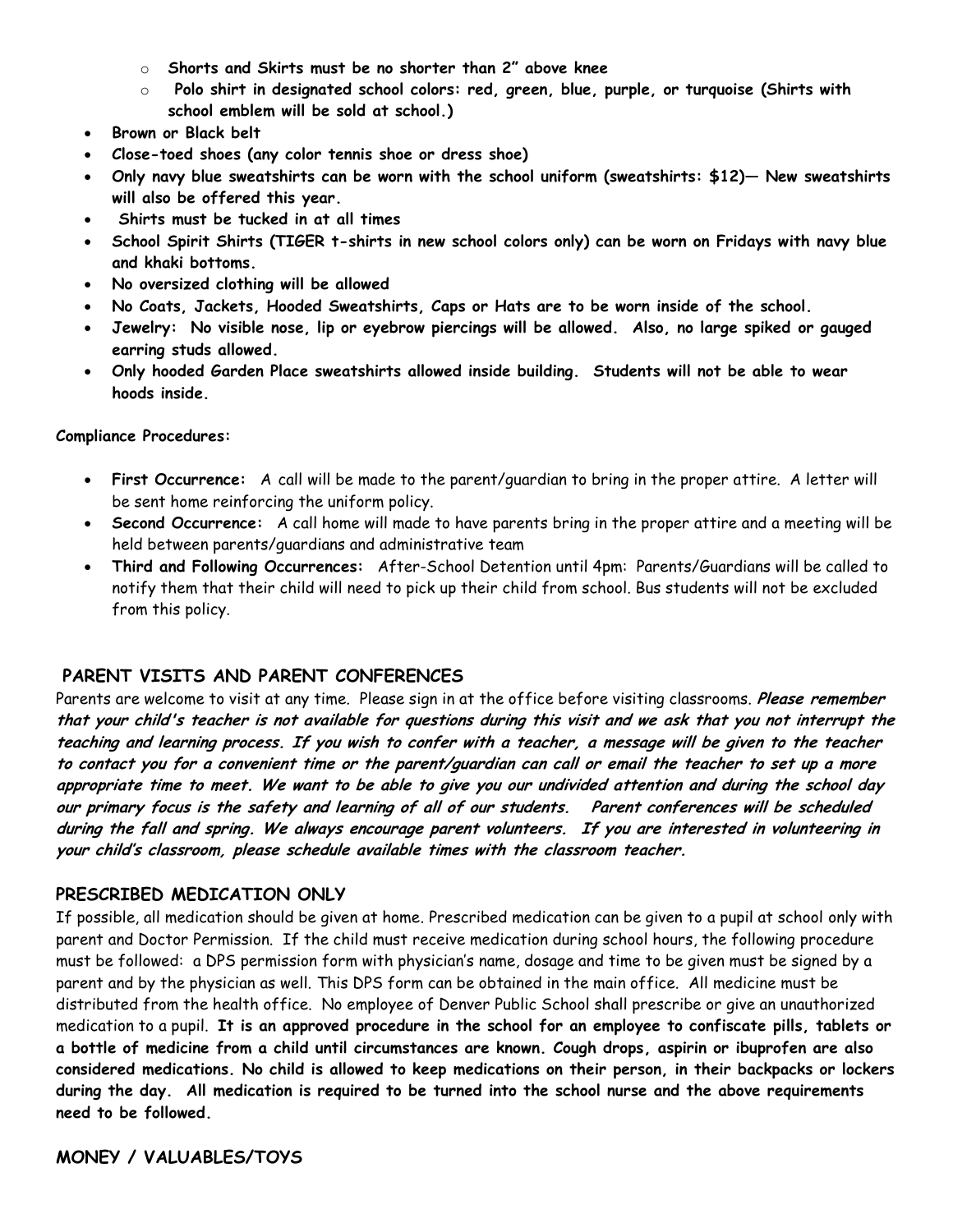- o **Shorts and Skirts must be no shorter than 2" above knee**
- o **Polo shirt in designated school colors: red, green, blue, purple, or turquoise (Shirts with school emblem will be sold at school.)**
- **Brown or Black belt**
- **Close-toed shoes (any color tennis shoe or dress shoe)**
- **Only navy blue sweatshirts can be worn with the school uniform (sweatshirts: \$12)— New sweatshirts will also be offered this year.**
- **Shirts must be tucked in at all times**
- **School Spirit Shirts (TIGER t-shirts in new school colors only) can be worn on Fridays with navy blue and khaki bottoms.**
- **No oversized clothing will be allowed**
- **No Coats, Jackets, Hooded Sweatshirts, Caps or Hats are to be worn inside of the school.**
- **Jewelry: No visible nose, lip or eyebrow piercings will be allowed. Also, no large spiked or gauged earring studs allowed.**
- **Only hooded Garden Place sweatshirts allowed inside building. Students will not be able to wear hoods inside.**

#### **Compliance Procedures:**

- **First Occurrence:** A call will be made to the parent/guardian to bring in the proper attire. A letter will be sent home reinforcing the uniform policy.
- **Second Occurrence:** A call home will made to have parents bring in the proper attire and a meeting will be held between parents/guardians and administrative team
- **Third and Following Occurrences:** After-School Detention until 4pm: Parents/Guardians will be called to notify them that their child will need to pick up their child from school. Bus students will not be excluded from this policy.

#### **PARENT VISITS AND PARENT CONFERENCES**

Parents are welcome to visit at any time. Please sign in at the office before visiting classrooms. **Please remember that your child's teacher is not available for questions during this visit and we ask that you not interrupt the teaching and learning process. If you wish to confer with a teacher, a message will be given to the teacher to contact you for a convenient time or the parent/guardian can call or email the teacher to set up a more appropriate time to meet. We want to be able to give you our undivided attention and during the school day our primary focus is the safety and learning of all of our students. Parent conferences will be scheduled during the fall and spring. We always encourage parent volunteers. If you are interested in volunteering in your child's classroom, please schedule available times with the classroom teacher.**

#### **PRESCRIBED MEDICATION ONLY**

If possible, all medication should be given at home. Prescribed medication can be given to a pupil at school only with parent and Doctor Permission. If the child must receive medication during school hours, the following procedure must be followed: a DPS permission form with physician's name, dosage and time to be given must be signed by a parent and by the physician as well. This DPS form can be obtained in the main office. All medicine must be distributed from the health office. No employee of Denver Public School shall prescribe or give an unauthorized medication to a pupil. **It is an approved procedure in the school for an employee to confiscate pills, tablets or a bottle of medicine from a child until circumstances are known. Cough drops, aspirin or ibuprofen are also considered medications. No child is allowed to keep medications on their person, in their backpacks or lockers during the day. All medication is required to be turned into the school nurse and the above requirements need to be followed.** 

**MONEY / VALUABLES/TOYS**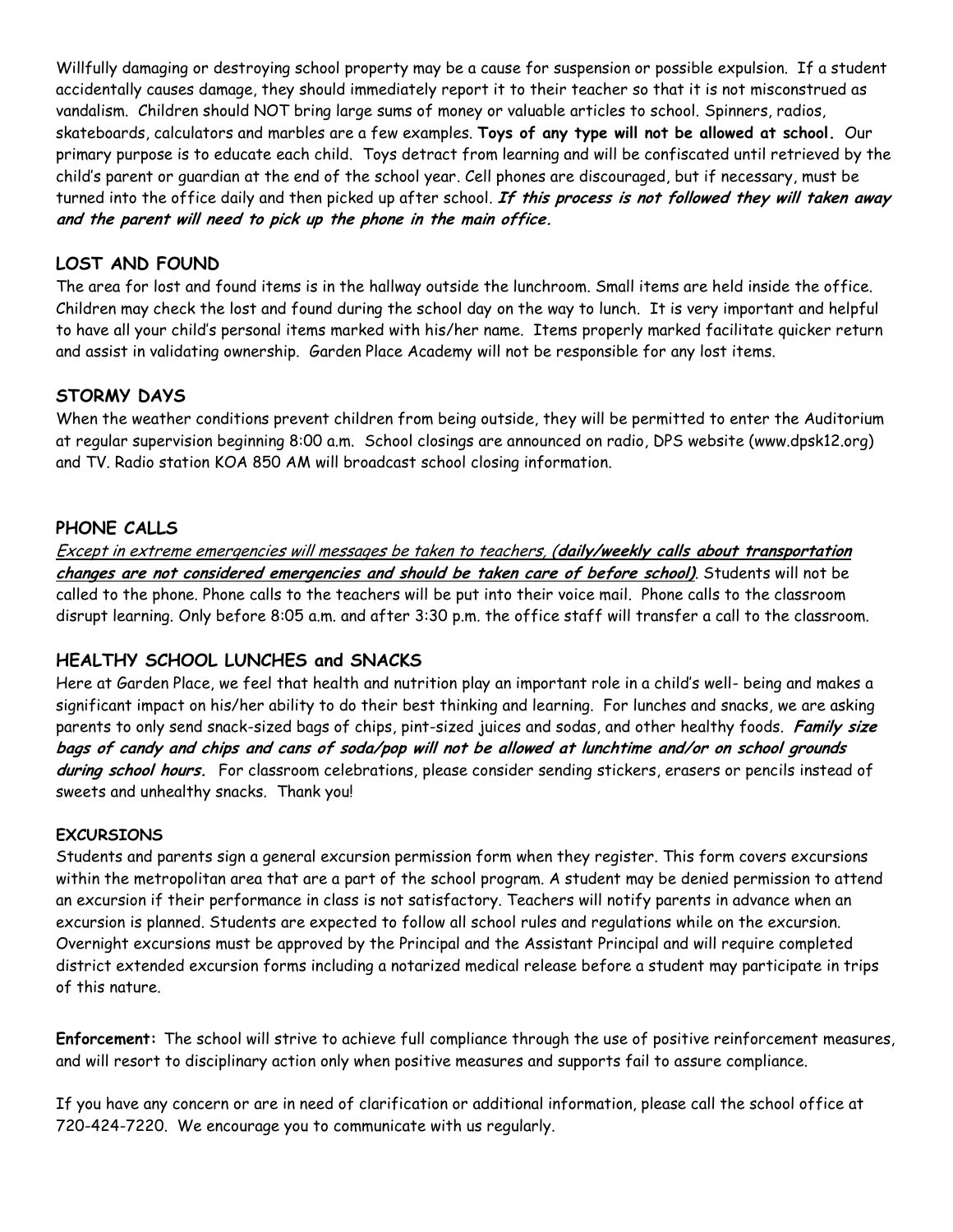Willfully damaging or destroying school property may be a cause for suspension or possible expulsion. If a student accidentally causes damage, they should immediately report it to their teacher so that it is not misconstrued as vandalism. Children should NOT bring large sums of money or valuable articles to school. Spinners, radios, skateboards, calculators and marbles are a few examples. **Toys of any type will not be allowed at school.** Our primary purpose is to educate each child. Toys detract from learning and will be confiscated until retrieved by the child's parent or guardian at the end of the school year. Cell phones are discouraged, but if necessary, must be turned into the office daily and then picked up after school. **If this process is not followed they will taken away and the parent will need to pick up the phone in the main office.**

# **LOST AND FOUND**

The area for lost and found items is in the hallway outside the lunchroom. Small items are held inside the office. Children may check the lost and found during the school day on the way to lunch. It is very important and helpful to have all your child's personal items marked with his/her name. Items properly marked facilitate quicker return and assist in validating ownership. Garden Place Academy will not be responsible for any lost items.

## **STORMY DAYS**

When the weather conditions prevent children from being outside, they will be permitted to enter the Auditorium at regular supervision beginning 8:00 a.m. School closings are announced on radio, DPS website (www.dpsk12.org) and TV. Radio station KOA 850 AM will broadcast school closing information.

## **PHONE CALLS**

Except in extreme emergencies will messages be taken to teachers, (**daily/weekly calls about transportation changes are not considered emergencies and should be taken care of before school)**. Students will not be called to the phone. Phone calls to the teachers will be put into their voice mail. Phone calls to the classroom disrupt learning. Only before 8:05 a.m. and after 3:30 p.m. the office staff will transfer a call to the classroom.

## **HEALTHY SCHOOL LUNCHES and SNACKS**

Here at Garden Place, we feel that health and nutrition play an important role in a child's well- being and makes a significant impact on his/her ability to do their best thinking and learning. For lunches and snacks, we are asking parents to only send snack-sized bags of chips, pint-sized juices and sodas, and other healthy foods. **Family size bags of candy and chips and cans of soda/pop will not be allowed at lunchtime and/or on school grounds during school hours.** For classroom celebrations, please consider sending stickers, erasers or pencils instead of sweets and unhealthy snacks. Thank you!

#### **EXCURSIONS**

Students and parents sign a general excursion permission form when they register. This form covers excursions within the metropolitan area that are a part of the school program. A student may be denied permission to attend an excursion if their performance in class is not satisfactory. Teachers will notify parents in advance when an excursion is planned. Students are expected to follow all school rules and regulations while on the excursion. Overnight excursions must be approved by the Principal and the Assistant Principal and will require completed district extended excursion forms including a notarized medical release before a student may participate in trips of this nature.

**Enforcement:** The school will strive to achieve full compliance through the use of positive reinforcement measures, and will resort to disciplinary action only when positive measures and supports fail to assure compliance.

If you have any concern or are in need of clarification or additional information, please call the school office at 720-424-7220. We encourage you to communicate with us regularly.